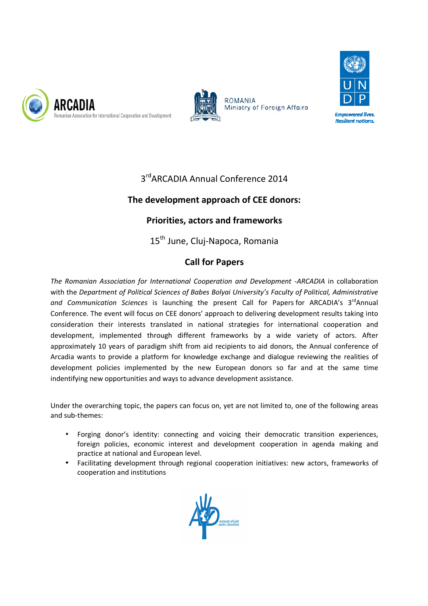





## 3<sup>rd</sup> ARCADIA Annual Conference 2014

## **The development approach of CEE donors:**

## **Priorities, actors and frameworks**

15<sup>th</sup> June, Cluj-Napoca, Romania

## **Call for Papers**

The Romanian Association for International Cooperation and Development -ARCADIA in collaboration with the *Department of Political Sciences of Babes Bolyai University's Faculty of Political, Administrative*  and Communication Sciences is launching the present Call for Papers for ARCADIA's 3<sup>rd</sup>Annual Conference. The event will focus on CEE donors' approach to delivering development results taking into consideration their interests translated in national strategies for international cooperation and development, implemented through different frameworks by a wide variety of actors. After approximately 10 years of paradigm shift from aid recipients to aid donors, the Annual conference of Arcadia wants to provide a platform for knowledge exchange and dialogue reviewing the realities of development policies implemented by the new European donors so far and at the same time indentifying new opportunities and ways to advance development assistance. Annual Conference 2014<br> **11 approach of CEE donors:**<br> **ctors and frameworks**<br>
Cluj-Napoca, Romania<br> **all for Papers**<br>
Cooperation and Development -ARCAI<br>
Babes Bolyai University's Faculty of Poli<br>
the present Call for Pape ies for international cooperation and<br>by a wide variety of actors. After<br>to aid donors, the Annual conference of<br>and dialogue reviewing the realities of<br>donors so far and at the same time<br>ent assistance.<br>not limited to, on

Under the overarching topic, the papers can focus on, yet are not limited to, one of the following areas and sub-themes:

- Forging donor's identity: connecting and voicing their democratic transition experiences, foreign policies, economic interest and development cooperation in agenda making and practice at national and European level.
- Facilitating development through regional cooperation initiatives: new actors, frameworks of cooperation and institutions